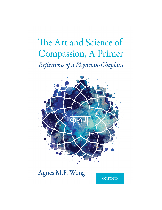# The Art and Science of **Compassion, A Primer** Reflections of a Physician-Chaplain



# Agnes M.F. Wong

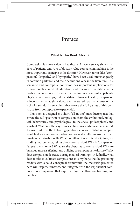### Preface

#### **What Is This Book About?**

Compassion is a core value in healthcare. A recent survey shows that 85% of patients and 91% of doctors value compassion, making it the most important principle in healthcare.<sup>1</sup> However, terms like "compassion," "empathy," and "sympathy" have been used interchangeably in common parlance, and their definitions vary in the literature. This semantic and conceptual confusion has important implications for clinical practice, medical education, and research. In addition, while medical schools offer courses on communication skills, patient– physician relationships, and social determinants of health, compassion is inconsistently taught, valued, and measured,<sup>2</sup> partly because of the lack of a standard curriculum that covers the full gamut of this construct, from conceptual to experiential.

This book is designed as a short, "all-in-one" introductory text that covers the full spectrum of compassion, from the evolutional, biological, behavioural, and psychological, to the social, philosophical, and spiritual. Written with busy trainees, clinicians, and educators in mind, it aims to address the following questions concisely: What is compassion? Is it an emotion, a motivation, or is it multidimensional? Is it innate or a trainable skill? What do different scientific disciplines, including neuroscience, tell us about compassion? Why is "compassion fatigue" a misnomer? What are the obstacles to compassion? Why are burnout, moral suffering, and bullying so rampant in healthcare? Why does compassion decrease during medical training? And, finally, what does it take to cultivate compassion? It is my hope that by providing readers with a solid conceptual framework, the materials presented here will inspire, reinforce, and integrate with the experiential component of compassion that requires diligent cultivation, training, and practice.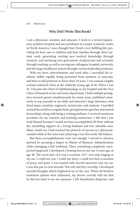#### **Why Did I Write This Book?**

I am a physician, scientist, and educator. I work in a tertiary/quaternary pediatric hospital and am a professor in a major academic centre in North America. I once thought that I lived a very fulfilling life: providing the best care to children and their families through direct patient work, generating exciting new medical knowledge through research, and nurturing new generations of physicians and scientists through teaching, as well as serving my colleagues, hospital, university, and the larger healthcare system through various leadership positions.

With my drive, determination, and work ethic, I ascended the academic ladder rapidly, being promoted from assistant, to associate, and then to full professor in fewer than 10 years. I was named a highly coveted endowed Chair at the relatively young age of 40. When I was 45, I became the Chief of Ophthalmology in my hospital and the Vice Chair of Research in my university department. I held multiple prestigious research grants simultaneously for many years, published extensively in top journals in my field, and directed a large laboratory that hired many scientists, engineers, technicians, and students. I travelled around the world on a regular basis, giving keynote speeches and named lectureships, along with being a visiting professor. I received numerous accolades for my research and teaching endeavours. I felt that I was truly blessed because I would not have accomplished all these without the unyielding support of a loving husband and two adorable sons. Many would say I had reached the pinnacle of success as a physicianscientist while at the same time achieving a very fine work–life balance.

But these accomplishments were not enough. I strived to advance upward by pursuing a degree in Master of Business Administration while managing a full workload. Then, something completely unexpected happened. I developed a hearing loss in one ear, 4 years ago, at age 48. The worst part of it was a constant, 24/7, non-stop ringing in my ear. I could not rest, I could not sleep, I could not have a moment of peace and quiet. I was treated with steroid injections into my ear. I was also put on oral steroids. Not only did they not help, I developed suicidal thoughts which frightened me to the core. When all Western treatment options were exhausted, my doctor covertly told me that he did not want to see me anymore. I felt abandoned, desperate, and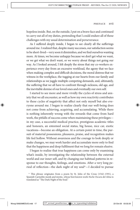hopeless inside. But, on the outside, I put on a brave face and continued to carry out all of my duties, pretending that I could endure all of these challenges with my usual determination and perseverance.

As I suffered deeply inside, I began to see clearly all the sufferings around me. I realized that, despite many successes, our satisfaction seems to be short-lived—very soon it diminishes, and we find ourselves wanting more. At times, we become unhappy because we don't get what we want, or we get what we don't want, or we worry about things not going our way. As I looked around, I felt deeply the stress that my co-workers experience every day from an excessive workload, the agony that we face when making complex and difficult decisions, the moral distress that we witness in the workplace, the tugging at our hearts from our family and relationships as we juggle multiple competing demands, and, ultimately, the suffering that we all have to confront through sickness, old age, and the inevitable demise of our loved ones and eventually our own self.

I started to see more and more vividly the cycles of stress and anxiety that we all encounter, as well as how my own reactivity contributes to these cycles of negativity that affect not only myself but also everyone around me. I began to realize clearly that our well-being does not come from achieving, acquiring, and accumulating. While there is nothing inherently wrong with the rewards that come from hard work, the pitfalls of success come when maintaining these privileges in my case, a successful medical practice, prestigious academic titles and honours, an esteemed social status, big house, nice car, exotic vacations—become an obligation. At a certain point in time, the pursuit of material possessions, pleasures, praise, and recognition makes life feel hollow. Without awareness and the courage to look deeply or make changes, we may work harder and accumulate more only to find that the happiness and deep fulfilment that we long for remain elusive.

I began to realize that true happiness can come only by examining what's inside, by investigating the relationship between the external world and our inner self, and by changing our habitual patterns in response to our thoughts, feelings, and emotions. After a very long period of reflection—the dark night of my soul\*—I decided to pursue

<sup>\*</sup> This phrase originates from a poem by St. John of the Cross (1542–1591), a Spanish Carmelite monk and mystic, whose best known work *Noche Oscura del Alma* is translated as "The Dark Night of the Soul."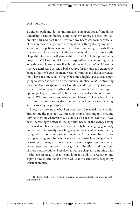a different path and do the unthinkable. I stepped down from all the leadership positions before completing my terms. I closed my laboratory. I turned part-time. However, my heart was torn because all of these radical changes were incompatible with my deeply ingrained ambition, competitiveness, and perfectionism. Going through these changes felt like a career suicide, an existential crisis, a mini-death. I kept thinking: What will people think of me? Am I disappointing my hospital staff? How could I be so irresponsible by abandoning many long-time employees whose livelihoods depend on me? Will I ever be trusted again? Am I setting a bad example for my kids and trainees by being a "quitter"? Are the many years of training and the experiences that I have accumulated to finally become a highly specialized expert going to waste? What will be the financial implications? Confronting these questions was painful, heart-rending, and frightening. Unknown to me, my identity, self-worth, and sense of purpose had been wrapped up completely with my roles, titles, and external validation. I asked myself: Who am I *really*, and what should I do next? I knew deep inside that I must commit to my decision no matter how raw, excruciating, and harrowing the process was.

I began by looking at what I enjoyed most. I realized that what has brought me the most joy was meeting people, listening to them, and serving them in whatever way I could. I also recognized that I have been increasingly drawn to the spiritual needs of the dying, having witnessed and been immersed in some truly life-changing, genuinely human, and amazingly enriching experiences while caring for my dying father, mother-in-law, and mentors. At the same time, I have been practising mindfulness for several years, which has helped me to be stronger, calmer, and more opened to new perspectives. I wanted to delve deeper into its roots that originate in Buddhist traditions. Out of these considerations, I resolved to pursue chaplaincy training with Roshi Joan Halifax,† so that I could hone my skills to serve others and explore how to care for the dying while at the same time deepen my spiritual practice.

<sup>†</sup> The term "Roshi" is a respectful honorific to a precious teacher or a master in the Zen tradition.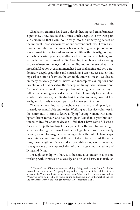Chaplaincy training has been a deeply healing and transformative experience. I now realize that I must touch deeply into my own pain and sorrow so that I can look clearly into the underlying causes of the inherent unsatisfactoriness of our conventional lives. From a visceral appreciation of the universality of suffering, a deep motivation was aroused in me: to lead an awakened life with integrity, courage, and wholehearted practice, to alleviate the miseries of all beings, and to touch the true nature of reality. Learning to embrace not knowing, to bear witness to the joys and pain of life, and to discern what is the most skilful action at each moment has been challenging and yet, paradoxically, deeply grounding and nourishing. I can now see acutely that my earlier notion of service, though noble and well-meant, was based on many previously hidden, naïve, and incomplete assumptions and orientations. It was based on the concept of "fixing" what is broken and "helping" what is weak from a position of being better and stronger, rather than coming from a deep inner place of humility to serve life as whole.<sup>‡</sup> I also notice, despite the best intention to serve, how quickly, easily, and furtively my ego slips in for its own gratification.

Chaplaincy training has brought me to many unanticipated, uncharted, yet remarkable territories. Working as a hospice volunteer in the community, I came to know a "dying" young woman with a malignant brain tumour. She had been given less than a year but continued to live for another decade. I feel that I have come full circle. As a neuro-ophthalmologist, I see patients with brain tumours regularly, monitoring their visual and neurologic functions. I have rarely paused, if ever, to imagine what living a life with multiple handicaps, uncertainties, and imminent threats of death feels like. At the same time, the strength, resilience, and wisdom this young woman revealed have given me a new appreciation of the mystery and sacredness of living and dying.

Through serendipity, I have also become a volunteer in a prison, working with inmates on a weekly, one-on-one basis. It is truly an

<sup>‡</sup> I learned the differences between helping, fixing, and serving from Dr. Rachel Naomi Remen who wrote: "Helping, fixing, and serving represent three different ways of seeing life. When you help, you see life as weak. When you fix, you see life as broken. When you serve, you see life as whole. Fixing and helping may be the work of the ego, and service the work of the soul" (*Shambhala Sun*, September 1999).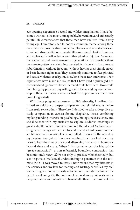eye-opening experience beyond my wildest imagination. I have become a witness to the most unimaginable, horrendous, and unbearably painful life circumstances that these men have endured from a very young age. I am astonished to notice a common theme among these men: extreme poverty, discrimination, physical and sexual abuses, alcohol and drug addictions, mental illnesses, psychological traumas, and violence, as well as brain and other physical injuries. Moreover, these adverse conditions seem to span generations. I also see how these men are forgotten by society, incarcerated in prison with its culture of subordination, without freedom, without having their simple needs or basic human rights met. They constantly continue to face physical and sexual violence, cruelty, injustice, loneliness, fear, and worse. Their experiences have made me realize that I have lived a privileged life, cocooned and ignorant of how different it could have been. How could I not bring my presence, my willingness to listen, and my companionship to these men who have never had the opportunities that I have taken for granted?

With these poignant exposures to life's adversity, I realized that I need to cultivate a deeper compassion and skilful means before I can truly serve others. Therefore, I decided to take a deep dive to study compassion in earnest for my chaplaincy thesis, combining my longstanding interests in psychology, biology, neuroscience, and social science with my curiosity to explore Buddhist teachings in greater depth. When I first encountered the ideal of *bodhisattvas* enlightened beings who are motivated to end all sufferings until all are liberated—I was completely enthralled. It was as if the ordeal of my hearing loss (which has since resolved) had cracked open my heart to hear the cries of the world, dissolving my personal boundary beyond time and space. When I first came across the idea of the "great compassion"—a non-referential, boundless compassion that becomes one's *raison d'être* not only to practise wholeheartedly, but also to pursue intellectual understanding to penetrate into the ultimate truth—I was moved to tears. I now realize that my interests in the sciences and my love for reading and writing, as well as my zeal for teaching, are not necessarily self-centered pursuits that hinder the path to awakening. On the contrary, I can realign my interests with a deep aspiration and intention to benefit all others. The results of this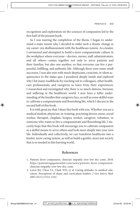recognition and exploration on the sciences of compassion led to the first half of the present book.

As I was nearing the completion of the thesis, I began to understand a main reason why I decided to make such a drastic change in my career: my disillusionment with the healthcare system. As a leader, I envisioned and attempted to build a more compassionate culture in the workplace where everyone—doctors, nurses, staff, administrators, and all others—comes together not only to serve patients and their families, but also one another, so that everyone can live a purposeful, fulfilling, and authentic life. Although there were some small successes, I was also met with much skepticism, cynicism, or silent acquiescence to the status quo. I pondered deeply inside and explored why I hit many roadblocks by reaching out to colleagues, other healthcare professionals, and caregivers to learn from their experiences. I researched and investigated why there is so much distress, burnout, and suffering in the healthcare world. I now have a fuller understanding of the hurdles that caregivers face, as well as some skilful ways to cultivate a compassionate and flourishing life, which I discuss in the second half of this book.

It is with great joy that I share this book with you. Whether you are a medical student, physician-in-training, practising doctor, nurse, social worker, therapist, chaplain, hospice worker, caregiver, volunteer, or someone who wants to live a compassionate and flourishing life, I sincerely hope that this book will encourage you to cultivate compassion as a skilful means to serve others and look more deeply into your own life. Individually and collectively, we can transform healthcare into a kinder, more caring system, as well as build a gentler, more just society that is so needed in this burning world.

#### **References**

- 1. Patients favor compassion, clinician empathy over low doc costs. 2018. https://patientengagementhit.com/news/patients-favor-compassionclinician-empathy-over-low-doc-costs
- 2. Lown BA, Chou CL, Clark WD, et al. Caring attitudes in medical education: Perceptions of deans and curriculum leaders. *J Gen Intern Med.* 2007;22(11):1514–1522.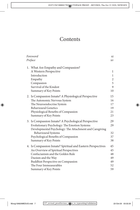## **Contents**

| Foreword<br>Preface |                                                                              | xi                |
|---------------------|------------------------------------------------------------------------------|-------------------|
|                     |                                                                              | XV                |
|                     | 1. What Are Empathy and Compassion?<br>A Western Perspective<br>Introduction | 1<br>$\mathbf{1}$ |
|                     | Empathy                                                                      | $\overline{c}$    |
|                     | Compassion                                                                   | 5                 |
|                     | Survival of the Kindest                                                      | 9                 |
|                     | Summary of Key Points                                                        | 10                |
|                     | 2. Is Compassion Innate? A Physiological Perspective                         | 15                |
|                     | The Autonomic Nervous System<br>The Neuroendocrine System                    | 16<br>17          |
|                     | <b>Behavioural Genetics</b>                                                  | 19                |
|                     | Physiological Benefits of Compassion                                         | 21                |
|                     | Summary of Key Points                                                        | 23                |
|                     | 3. Is Compassion Innate? A Psychological Perspective                         | 29                |
|                     | Evolutionary Psychology: The Emotion Systems                                 | 29                |
|                     | Developmental Psychology: The Attachment and Caregiving                      |                   |
|                     | <b>Behavioural Systems</b>                                                   | 32                |
|                     | Psychological Benefits of Compassion                                         | 37                |
|                     | Summary of Key Points                                                        | 38                |
|                     | 4. Is Compassion Innate? Spiritual and Eastern Perspectives                  | 45                |
|                     | An Overview of Spiritual Perspectives                                        | 45                |
|                     | Confucianism and the Golden Rule                                             | 48                |
|                     | Daoism and the Way                                                           | 49                |
|                     | <b>Buddhist Perspective on Compassion</b><br>The Four Immeasurables          | 49<br>52          |
|                     | Summary of Key Points                                                        | 59                |
|                     |                                                                              |                   |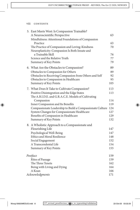| 5. East Meets West: Is Compassion Trainable?                                        |            |
|-------------------------------------------------------------------------------------|------------|
| A Neuroscientific Perspective                                                       | 63         |
| Mindfulness: Attentional Foundations of Compassion                                  |            |
| Practice                                                                            | 63         |
| The Practice of Compassion and Loving-Kindness                                      | 70         |
| Neuroplasticity: Compassion Is Both Innate and                                      |            |
| a Trainable Skill                                                                   | 76         |
| Science and the Relative Truth                                                      | 77         |
| Summary of Key Points                                                               | 79         |
| 6. What Are the Obstacles to Compassion?                                            | 89         |
| Obstacles to Compassion for Others                                                  | 89         |
| Obstacles to Receiving Compassion from Others and Self                              | 92         |
| Obstacles to Compassion in Healthcare                                               | 95         |
| Summary of Key Points                                                               | 105        |
|                                                                                     |            |
| 7. What Does It Take to Cultivate Compassion?                                       | 113        |
| Positive Disintegration and the Edge States                                         | 113        |
| The A.B.I.D.E. and G.R.A.C.E. Models of Cultivating                                 |            |
| Compassion                                                                          | 114        |
| Inner Compassion and Its Benefits                                                   | 119<br>124 |
| Compassionate Leadership to Build a Compassionate Culture                           | 127        |
| System Changes for Compassionate Healthcare<br>Benefits of Compassion in Healthcare | 129        |
| Summary of Key Points                                                               | 132        |
|                                                                                     |            |
| 8. A Wholistic Approach to a Compassionate and                                      |            |
| Flourishing Life                                                                    | 147        |
| Psychological Well-Being                                                            | 147        |
| Ethics and Moral Resilience                                                         | 148        |
| Social Engagement                                                                   | 152        |
| A Transcendental Life                                                               | 154        |
| Summary of Key Points                                                               | 155        |
| Postface                                                                            | 159        |
| Rites of Passage                                                                    | 159        |
| The Three Tenets                                                                    | 162        |
| Being with Living and Dying                                                         | 164        |
| A Koan                                                                              | 166        |
| Acknowledgments                                                                     | 171        |